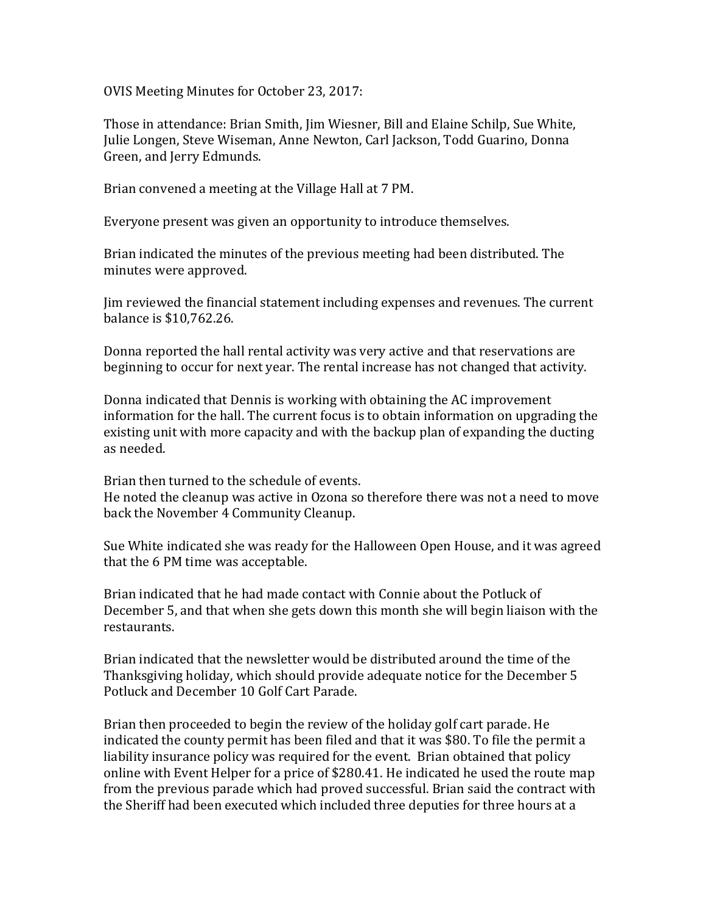OVIS Meeting Minutes for October 23, 2017:

Those in attendance: Brian Smith, Jim Wiesner, Bill and Elaine Schilp, Sue White, Julie Longen, Steve Wiseman, Anne Newton, Carl Jackson, Todd Guarino, Donna Green, and Jerry Edmunds.

Brian convened a meeting at the Village Hall at 7 PM.

Everyone present was given an opportunity to introduce themselves.

Brian indicated the minutes of the previous meeting had been distributed. The minutes were approved.

Jim reviewed the financial statement including expenses and revenues. The current balance is \$10,762.26.

Donna reported the hall rental activity was very active and that reservations are beginning to occur for next year. The rental increase has not changed that activity.

Donna indicated that Dennis is working with obtaining the AC improvement information for the hall. The current focus is to obtain information on upgrading the existing unit with more capacity and with the backup plan of expanding the ducting as needed.

Brian then turned to the schedule of events. He noted the cleanup was active in Ozona so therefore there was not a need to move back the November 4 Community Cleanup.

Sue White indicated she was ready for the Halloween Open House, and it was agreed that the 6 PM time was acceptable.

Brian indicated that he had made contact with Connie about the Potluck of December 5, and that when she gets down this month she will begin liaison with the restaurants.

Brian indicated that the newsletter would be distributed around the time of the Thanksgiving holiday, which should provide adequate notice for the December 5 Potluck and December 10 Golf Cart Parade.

Brian then proceeded to begin the review of the holiday golf cart parade. He indicated the county permit has been filed and that it was \$80. To file the permit a liability insurance policy was required for the event. Brian obtained that policy online with Event Helper for a price of \$280.41. He indicated he used the route map from the previous parade which had proved successful. Brian said the contract with the Sheriff had been executed which included three deputies for three hours at a